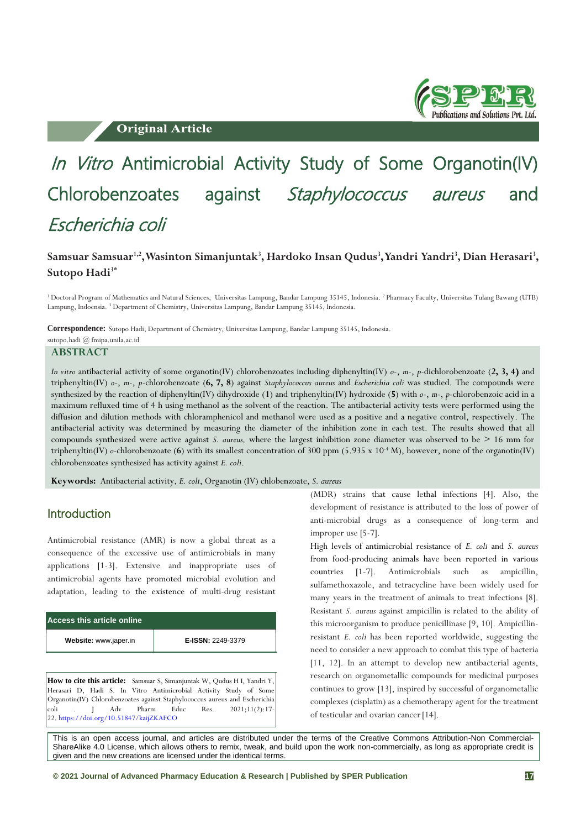**Original Article** 



# In Vitro Antimicrobial Activity Study of Some Organotin(IV) Chlorobenzoates against Staphylococcus aureus and Escherichia coli

## **Samsuar Samsuar1,2 , Wasinton Simanjuntak<sup>3</sup> , Hardoko Insan Qudus<sup>3</sup> , Yandri Yandri<sup>3</sup> , Dian Herasari<sup>3</sup> , Sutopo Hadi3\***

<sup>1</sup> Doctoral Program of Mathematics and Natural Sciences, Universitas Lampung, Bandar Lampung 35145, Indonesia. <sup>2</sup> Pharmacy Faculty, Universitas Tulang Bawang (UTB) Lampung, Indoensia. <sup>3</sup> Department of Chemistry, Universitas Lampung, Bandar Lampung 35145, Indonesia.

**Correspondence:** Sutopo Hadi, Department of Chemistry, Universitas Lampung, Bandar Lampung 35145, Indonesia. sutopo.hadi @ fmipa.unila.ac.id

**ABSTRACT**

*In vitro* antibacterial activity of some organotin(IV) chlorobenzoates including diphenyltin(IV) *o*-, *m*-, *p*-dichlorobenzoate (**2, 3, 4)** and triphenyltin(IV) *o*-, *m*-, *p*-chlorobenzoate (**6, 7, 8**) against *Staphylococcus aureus* and *Escherichia coli* was studied. The compounds were synthesized by the reaction of diphenyltin(IV) dihydroxide (**1**) and triphenyltin(IV) hydroxide (**5**) with *o*-, *m*-, *p*-chlorobenzoic acid in a maximum refluxed time of 4 h using methanol as the solvent of the reaction. The antibacterial activity tests were performed using the diffusion and dilution methods with chloramphenicol and methanol were used as a positive and a negative control, respectively. The antibacterial activity was determined by measuring the diameter of the inhibition zone in each test. The results showed that all compounds synthesized were active against *S. aureus,* where the largest inhibition zone diameter was observed to be > 16 mm for triphenyltin(IV)  $o$ -chlorobenzoate (6) with its smallest concentration of 300 ppm (5.935 x  $10<sup>4</sup>$  M), however, none of the organotin(IV) chlorobenzoates synthesized has activity against *E. coli*.

**Keywords:** Antibacterial activity, *E. coli*, Organotin (IV) chlobenzoate, *S. aureus*

### Introduction

Antimicrobial resistance (AMR) is now a global threat as a consequence of the excessive use of antimicrobials in many applications [1-3]. Extensive and inappropriate uses of antimicrobial agents have promoted microbial evolution and adaptation, leading to the existence of multi-drug resistant

| Access this article online |                          |  |  |  |  |  |  |
|----------------------------|--------------------------|--|--|--|--|--|--|
| Website: www.japer.in      | <b>E-ISSN: 2249-3379</b> |  |  |  |  |  |  |

**How to cite this article:** Samsuar S, Simanjuntak W, Qudus H I, Yandri Y, Herasari D, Hadi S. In Vitro Antimicrobial Activity Study of Some Organotin(IV) Chlorobenzoates against Staphylococcus aureus and Escherichia coli . J Adv Pharm Educ Res. 2021;11(2):17- 22. <https://doi.org/10.51847/kaijZKAFCO>

(MDR) strains that cause lethal infections [4]. Also, the development of resistance is attributed to the loss of power of anti-microbial drugs as a consequence of long-term and improper use [5-7].

High levels of antimicrobial resistance of *E. coli* and *S. aureus* from food-producing animals have been reported in various countries [1-7]. Antimicrobials such as ampicillin, sulfamethoxazole, and tetracycline have been widely used for many years in the treatment of animals to treat infections [8]. Resistant *S. aureus* against ampicillin is related to the ability of this microorganism to produce penicillinase [9, 10]. Ampicillinresistant *E. coli* has been reported worldwide, suggesting the need to consider a new approach to combat this type of bacteria [11, 12]. In an attempt to develop new antibacterial agents, research on organometallic compounds for medicinal purposes continues to grow [13], inspired by successful of organometallic complexes (cisplatin) as a chemotherapy agent for the treatment of testicular and ovarian cancer[14].

This is an open access journal, and articles are distributed under the terms of the Creative Commons Attribution-Non Commercial-ShareAlike 4.0 License, which allows others to remix, tweak, and build upon the work non-commercially, as long as appropriate credit is given and the new creations are licensed under the identical terms.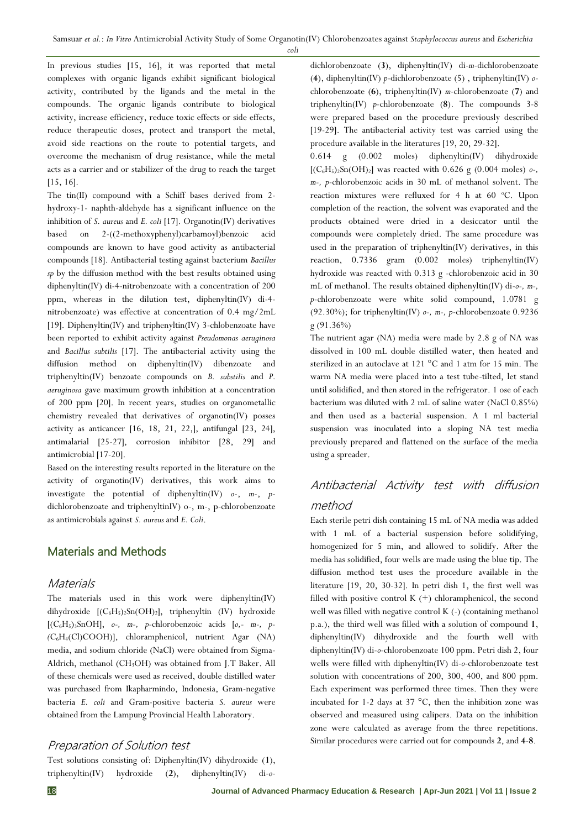*coli*

In previous studies [15, 16], it was reported that metal complexes with organic ligands exhibit significant biological activity, contributed by the ligands and the metal in the compounds. The organic ligands contribute to biological activity, increase efficiency, reduce toxic effects or side effects, reduce therapeutic doses, protect and transport the metal, avoid side reactions on the route to potential targets, and overcome the mechanism of drug resistance, while the metal acts as a carrier and or stabilizer of the drug to reach the target [15, 16].

The tin(II) compound with a Schiff bases derived from 2 hydroxy-1- naphth-aldehyde has a significant influence on the inhibition of *S. aureus* and *E. coli* [17]. Organotin(IV) derivatives based on  $2-((2-methoxyphenyl)carbamoyl)benzoic$ compounds are known to have good activity as antibacterial compounds [18]. Antibacterial testing against bacterium *Bacillus sp* by the diffusion method with the best results obtained using diphenyltin(IV) di-4-nitrobenzoate with a concentration of 200 ppm, whereas in the dilution test, diphenyltin(IV) di-4 nitrobenzoate) was effective at concentration of 0.4 mg/2mL [19]. Diphenyltin(IV) and triphenyltin(IV) 3-chlobenzoate have been reported to exhibit activity against *Pseudomonas aeruginosa* and *Bacillus subtilis* [17]. The antibacterial activity using the  $diffusion$  method on diphenyltin $(IV)$  dibenzoate triphenyltin(IV) benzoate compounds on *B. substilis* and *P. aeruginosa* gave maximum growth inhibition at a concentration of 200 ppm [20]. In recent years, studies on organometallic chemistry revealed that derivatives of organotin(IV) posses activity as anticancer [16, 18, 21, 22,], antifungal [23, 24], antimalarial [25-27], corrosion inhibitor [28, 29] and antimicrobial [17-20].

Based on the interesting results reported in the literature on the activity of organotin(IV) derivatives, this work aims to investigate the potential of diphenyltin(IV) *o*-, *m*-, *p*dichlorobenzoate and triphenyltinIV) o-, m-, p-chlorobenzoate as antimicrobials against *S. aureus* and *E. Coli*.

## Materials and Methods

### **Materials**

The materials used in this work were diphenyltin(IV) dihydroxide [(C6H5)2Sn(OH)2], triphenyltin (IV) hydroxide [(C6H5)3SnOH], *o-, m-, p-*chlorobenzoic acids [*o,- m-, p- (*C6H4(Cl)COOH)], chloramphenicol, nutrient Agar (NA) media, and sodium chloride (NaCl) were obtained from Sigma-Aldrich, methanol (CH3OH) was obtained from J.T Baker. All of these chemicals were used as received, double distilled water was purchased from Ikapharmindo, Indonesia, Gram-negative bacteria *E. coli* and Gram-positive bacteria *S. aureus* were obtained from the Lampung Provincial Health Laboratory.

### Preparation of Solution test

Test solutions consisting of: Diphenyltin(IV) dihydroxide (**1**), triphenyltin(IV) hydroxide (**2**), diphenyltin(IV) di-*o*-

dichlorobenzoate (**3**), diphenyltin(IV) di-*m*-dichlorobenzoate (**4**), diphenyltin(IV) *p*-dichlorobenzoate (5) , triphenyltin(IV) *o*chlorobenzoate (**6**), triphenyltin(IV) *m*-chlorobenzoate (**7**) and triphenyltin(IV) *p*-chlorobenzoate (**8**). The compounds 3-8 were prepared based on the procedure previously described [19-29]. The antibacterial activity test was carried using the procedure available in the literatures [19, 20, 29-32].

0.614 g (0.002 moles) diphenyltin(IV) dihydroxide  $[(C_6H_5)_2Sn(OH)_2]$  was reacted with 0.626 g (0.004 moles)  $o$ -, *m-, p*-chlorobenzoic acids in 30 mL of methanol solvent. The reaction mixtures were refluxed for  $4 h at 60 °C$ . Upon completion of the reaction, the solvent was evaporated and the products obtained were dried in a desiccator until the compounds were completely dried. The same procedure was used in the preparation of triphenyltin(IV) derivatives, in this reaction, 0.7336 gram (0.002 moles) triphenyltin(IV) hydroxide was reacted with 0.313 g -chlorobenzoic acid in 30 mL of methanol. The results obtained diphenyltin(IV) di-*o-, m-, p*-chlorobenzoate were white solid compound, 1.0781 g (92.30%); for triphenyltin(IV) *o-, m-, p*-chlorobenzoate 0.9236 g (91.36%)

The nutrient agar (NA) media were made by 2.8 g of NA was dissolved in 100 mL double distilled water, then heated and sterilized in an autoclave at 121 °C and 1 atm for 15 min. The warm NA media were placed into a test tube-tilted, let stand until solidified, and then stored in the refrigerator. 1 ose of each bacterium was diluted with 2 mL of saline water (NaCl 0.85%) and then used as a bacterial suspension. A 1 ml bacterial suspension was inoculated into a sloping NA test media previously prepared and flattened on the surface of the media using a spreader.

# Antibacterial Activity test with diffusion method

Each sterile petri dish containing 15 mL of NA media was added with 1 mL of a bacterial suspension before solidifying, homogenized for 5 min, and allowed to solidify. After the media has solidified, four wells are made using the blue tip. The diffusion method test uses the procedure available in the literature [19, 20, 30-32]. In petri dish 1, the first well was filled with positive control  $K$  (+) chloramphenicol, the second well was filled with negative control K (-) (containing methanol p.a.), the third well was filled with a solution of compound **1**, diphenyltin(IV) dihydroxide and the fourth well with diphenyltin(IV) di-*o*-chlorobenzoate 100 ppm. Petri dish 2, four wells were filled with diphenyltin(IV) di-*o*-chlorobenzoate test solution with concentrations of 200, 300, 400, and 800 ppm. Each experiment was performed three times. Then they were incubated for 1-2 days at 37  $^{\circ}$ C, then the inhibition zone was observed and measured using calipers. Data on the inhibition zone were calculated as average from the three repetitions. Similar procedures were carried out for compounds **2**, and **4**-**8**.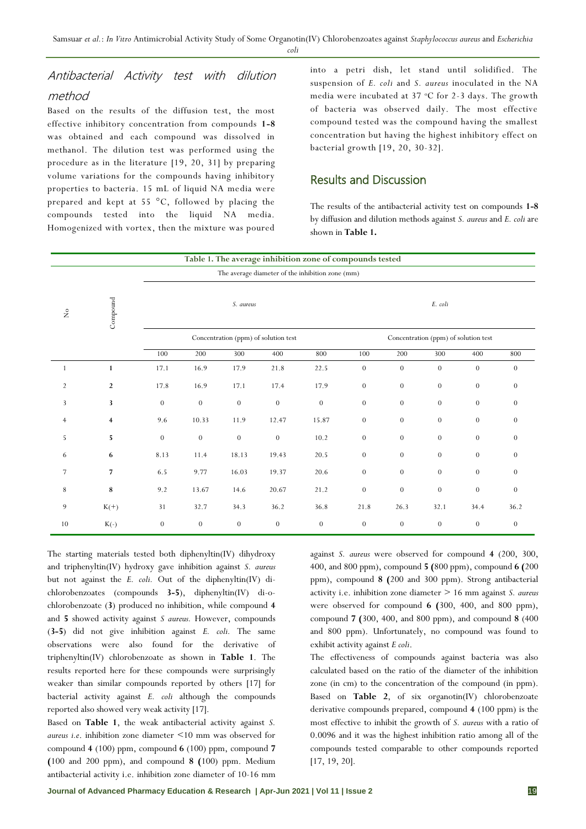*coli*

# Antibacterial Activity test with dilution method

Based on the results of the diffusion test, the most effective inhibitory concentration from compounds **1-8**  was obtained and each compound was dissolved in methanol. The dilution test was performed using the procedure as in the literature [19, 20, 31] by preparing volume variations for the compounds having inhibitory properties to bacteria. 15 mL of liquid NA media were prepared and kept at 55 °C, followed by placing the compounds tested into the liquid NA media. Homogenized with vortex, then the mixture was poured into a petri dish, let stand until solidified. The suspension of *E. coli* and *S. aureus* inoculated in the NA media were incubated at  $37$  °C for 2-3 days. The growth of bacteria was observed daily. The most effective compound tested was the compound having the smallest concentration but having the highest inhibitory effect on bacterial growth [19, 20, 30-32].

# Results and Discussion

The results of the antibacterial activity test on compounds **1-8**  by diffusion and dilution methods against *S. aureus* and *E. coli* are shown in **Table 1.**

| Table 1. The average inhibition zone of compounds tested |                         |                                      |                  |                  |                  |                                                  |                                      |                  |                  |                  |                |
|----------------------------------------------------------|-------------------------|--------------------------------------|------------------|------------------|------------------|--------------------------------------------------|--------------------------------------|------------------|------------------|------------------|----------------|
|                                                          |                         |                                      |                  |                  |                  | The average diameter of the inhibition zone (mm) |                                      |                  |                  |                  |                |
| $\stackrel{\circ}{\simeq}$                               | Compound                |                                      | E. coli          |                  |                  |                                                  |                                      |                  |                  |                  |                |
|                                                          |                         | Concentration (ppm) of solution test |                  |                  |                  |                                                  | Concentration (ppm) of solution test |                  |                  |                  |                |
|                                                          |                         | 100                                  | 200              | 300              | 400              | 800                                              | 100                                  | 200              | 300              | 400              | 800            |
| 1                                                        | $\mathbf{1}$            | 17.1                                 | 16.9             | 17.9             | 21.8             | 22.5                                             | $\boldsymbol{0}$                     | $\boldsymbol{0}$ | $\overline{0}$   | $\theta$         | $\theta$       |
| $\overline{2}$                                           | $\overline{2}$          | 17.8                                 | 16.9             | 17.1             | 17.4             | 17.9                                             | $\theta$                             | $\theta$         | $\theta$         | $\theta$         | $\theta$       |
| 3                                                        | 3                       | $\mathbf{0}$                         | $\overline{0}$   | $\overline{0}$   | $\boldsymbol{0}$ | $\theta$                                         | $\boldsymbol{0}$                     | $\boldsymbol{0}$ | $\overline{0}$   | $\theta$         | $\theta$       |
| $\overline{4}$                                           | $\overline{\mathbf{4}}$ | 9.6                                  | 10.33            | 11.9             | 12.47            | 15.87                                            | $\boldsymbol{0}$                     | $\boldsymbol{0}$ | $\boldsymbol{0}$ | $\theta$         | $\overline{0}$ |
| 5                                                        | 5                       | $\theta$                             | $\theta$         | $\theta$         | $\mathbf{0}$     | 10.2                                             | $\theta$                             | $\theta$         | $\theta$         | $\theta$         | $\Omega$       |
| 6                                                        | 6                       | 8.13                                 | 11.4             | 18.13            | 19.43            | 20.5                                             | $\boldsymbol{0}$                     | $\boldsymbol{0}$ | $\mathbf{0}$     | $\theta$         | $\theta$       |
| 7                                                        | $\overline{7}$          | 6.5                                  | 9.77             | 16.03            | 19.37            | 20.6                                             | $\boldsymbol{0}$                     | $\boldsymbol{0}$ | $\boldsymbol{0}$ | $\theta$         | $\theta$       |
| 8                                                        | 8                       | 9.2                                  | 13.67            | 14.6             | 20.67            | 21.2                                             | $\boldsymbol{0}$                     | $\boldsymbol{0}$ | $\theta$         | $\theta$         | $\theta$       |
| 9                                                        | $K(+)$                  | 31                                   | 32.7             | 34.3             | 36.2             | 36.8                                             | 21.8                                 | 26.3             | 32.1             | 34.4             | 36.2           |
| 10                                                       | $K(-)$                  | $\boldsymbol{0}$                     | $\boldsymbol{0}$ | $\boldsymbol{0}$ | $\boldsymbol{0}$ | $\boldsymbol{0}$                                 | $\boldsymbol{0}$                     | $\boldsymbol{0}$ | $\boldsymbol{0}$ | $\boldsymbol{0}$ | $\theta$       |

The starting materials tested both diphenyltin(IV) dihydroxy and triphenyltin(IV) hydroxy gave inhibition against *S. aureus* but not against the *E. coli.* Out of the diphenyltin(IV) dichlorobenzoates (compounds **3-5**), diphenyltin(IV) di-ochlorobenzoate (**3**) produced no inhibition, while compound **4** and **5** showed activity against *S aureus.* However, compounds (**3-5**) did not give inhibition against *E. coli.* The same observations were also found for the derivative of triphenyltin(IV) chlorobenzoate as shown in **Table 1**. The results reported here for these compounds were surprisingly weaker than similar compounds reported by others [17] for bacterial activity against *E. coli* although the compounds reported also showed very weak activity [17].

Based on **Table 1**, the weak antibacterial activity against *S. aureus i.e*. inhibition zone diameter <10 mm was observed for compound **4** (100) ppm, compound **6** (100) ppm, compound **7 (**100 and 200 ppm), and compound **8 (**100) ppm. Medium antibacterial activity i.e. inhibition zone diameter of 10-16 mm

against *S. aureus* were observed for compound **4** (200, 300, 400, and 800 ppm), compound **5 (**800 ppm), compound **6 (**200 ppm), compound **8 (**200 and 300 ppm). Strong antibacterial activity i.e. inhibition zone diameter > 16 mm against *S. aureus* were observed for compound **6 (**300, 400, and 800 ppm), compound **7 (**300, 400, and 800 ppm), and compound **8** (400 and 800 ppm). Unfortunately, no compound was found to exhibit activity against *E coli*.

The effectiveness of compounds against bacteria was also calculated based on the ratio of the diameter of the inhibition zone (in cm) to the concentration of the compound (in ppm). Based on **Table 2**, of six organotin(IV) chlorobenzoate derivative compounds prepared, compound **4** (100 ppm) is the most effective to inhibit the growth of *S. aureus* with a ratio of 0.0096 and it was the highest inhibition ratio among all of the compounds tested comparable to other compounds reported [17, 19, 20].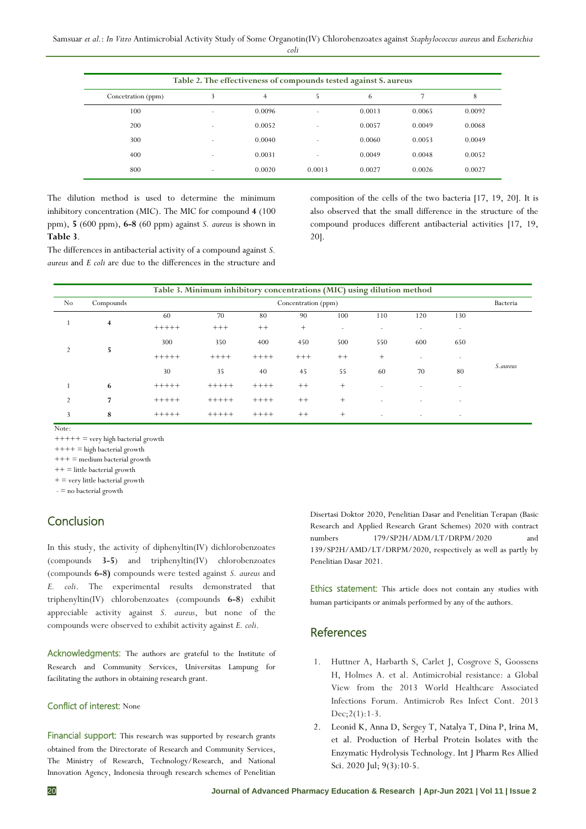| ٦<br>÷<br>. . |
|---------------|
|---------------|

| Table 2. The effectiveness of compounds tested against S. aureus |                          |                |                |        |        |        |  |  |  |  |
|------------------------------------------------------------------|--------------------------|----------------|----------------|--------|--------|--------|--|--|--|--|
| Concetration (ppm)                                               | 3                        | $\overline{4}$ | 5.             | 6      |        | 8      |  |  |  |  |
| 100                                                              |                          | 0.0096         | ۰              | 0.0013 | 0.0065 | 0.0092 |  |  |  |  |
| 200                                                              |                          | 0.0052         | $\overline{a}$ | 0.0057 | 0.0049 | 0.0068 |  |  |  |  |
| 300                                                              | $\overline{a}$           | 0.0040         |                | 0.0060 | 0.0053 | 0.0049 |  |  |  |  |
| 400                                                              | $\overline{\phantom{a}}$ | 0.0031         | ۰              | 0.0049 | 0.0048 | 0.0052 |  |  |  |  |
| 800                                                              | $\overline{\phantom{a}}$ | 0.0020         | 0.0013         | 0.0027 | 0.0026 | 0.0027 |  |  |  |  |

The dilution method is used to determine the minimum inhibitory concentration (MIC). The MIC for compound **4** (100 ppm), **5** (600 ppm), **6-8** (60 ppm) against *S. aureus* is shown in **Table 3**.

The differences in antibacterial activity of a compound against *S. aureus* and *E coli* are due to the differences in the structure and composition of the cells of the two bacteria [17, 19, 20]. It is also observed that the small difference in the structure of the compound produces different antibacterial activities [17, 19, 20].

| Table 3. Minimum inhibitory concentrations (MIC) using dilution method |           |                     |         |         |         |                          |                          |                          |                          |           |  |
|------------------------------------------------------------------------|-----------|---------------------|---------|---------|---------|--------------------------|--------------------------|--------------------------|--------------------------|-----------|--|
| No                                                                     | Compounds | Concentration (ppm) |         |         |         |                          |                          |                          |                          |           |  |
| 4                                                                      |           | 60                  | 70      | 80      | 90      | 100                      | 110                      | 120                      | 130                      |           |  |
|                                                                        |           | $+++++$             | $+++$   | $^{++}$ | $+$     | $\overline{\phantom{a}}$ | $\overline{\phantom{a}}$ | $\overline{\phantom{a}}$ | $\sim$                   |           |  |
| 5<br>$\overline{2}$                                                    |           | 300                 | 350     | 400     | 450     | 500                      | 550                      | 600                      | 650                      |           |  |
|                                                                        |           | $+++++$             | $+++++$ | $++++$  | $+++$   | $++$                     | $+$                      | ۰                        | $\overline{\phantom{a}}$ |           |  |
|                                                                        |           | 30                  | 35      | 40      | 45      | 55                       | 60                       | 70                       | 80                       | S. aureus |  |
|                                                                        | 6         | $+++++$             | $+++++$ | $+++++$ | $^{++}$ | $^{+}$                   |                          |                          | ٠                        |           |  |
| $\overline{2}$                                                         | 7         | $+++++$             | $+++++$ | $+++++$ | $^+$    | $+$                      |                          | ۰                        | $\overline{\phantom{a}}$ |           |  |
| 3                                                                      | 8         | $+++++$             | $+++++$ | $+++++$ | $++$    | $+$                      |                          | $\overline{\phantom{a}}$ | $\overline{\phantom{a}}$ |           |  |

Note:

 $++++=$  very high bacterial growth

 $++++$  = high bacterial growth

 $+++$  = medium bacterial growth

 $++$  = little bacterial growth

 $+=$  very little bacterial growth

- = no bacterial growth

# **Conclusion**

In this study, the activity of diphenyltin(IV) dichlorobenzoates (compounds **3-5**) and triphenyltin(IV) chlorobenzoates (compounds **6-8)** compounds were tested against *S. aureus* and *E. coli*. The experimental results demonstrated that triphenyltin(IV) chlorobenzoates (compounds **6-8**) exhibit appreciable activity against *S. aureus*, but none of the compounds were observed to exhibit activity against *E. coli*.

Acknowledgments: The authors are grateful to the Institute of Research and Community Services, Universitas Lampung for facilitating the authors in obtaining research grant.

#### Conflict of interest: None

Financial support: This research was supported by research grants obtained from the Directorate of Research and Community Services, The Ministry of Research, Technology/Research, and National Innovation Agency, Indonesia through research schemes of Penelitian Disertasi Doktor 2020, Penelitian Dasar and Penelitian Terapan (Basic Research and Applied Research Grant Schemes) 2020 with contract numbers 179/SP2H/ADM/LT/DRPM/2020 and 139/SP2H/AMD/LT/DRPM/2020, respectively as well as partly by Penelitian Dasar 2021.

Ethics statement: This article does not contain any studies with human participants or animals performed by any of the authors.

### **References**

- 1. Huttner A, Harbarth S, Carlet J, Cosgrove S, Goossens H, Holmes A. et al. Antimicrobial resistance: a Global View from the 2013 World Healthcare Associated Infections Forum. Antimicrob Res Infect Cont. 2013 Dec;2(1):1-3.
- 2. Leonid K, Anna D, Sergey T, Natalya T, Dina P, Irina M, et al. Production of Herbal Protein Isolates with the Enzymatic Hydrolysis Technology. Int J Pharm Res Allied Sci. 2020 Jul; 9(3):10-5.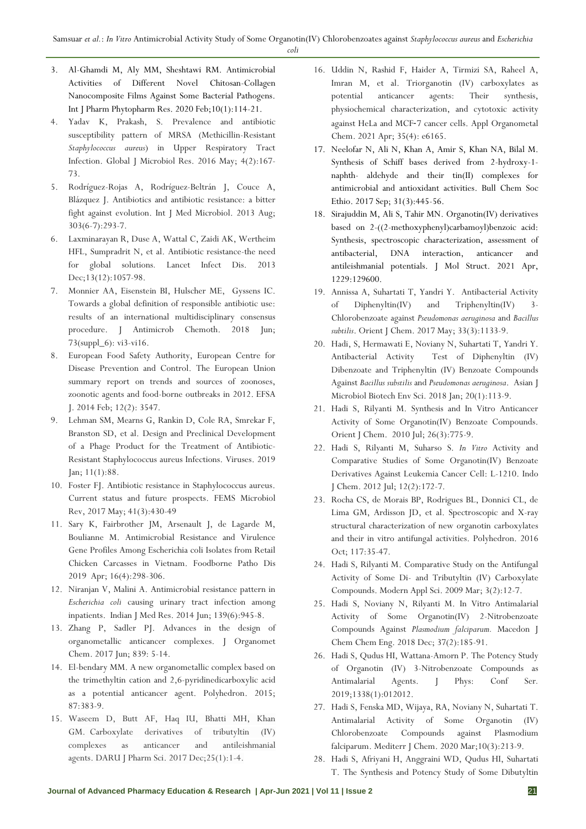- *coli*
- 3. Al-Ghamdi M, Aly MM, Sheshtawi RM. Antimicrobial Activities of Different Novel Chitosan-Collagen Nanocomposite Films Against Some Bacterial Pathogens. Int J Pharm Phytopharm Res. 2020 Feb;10(1):114-21.
- 4. Yadav K, Prakash, S. Prevalence and antibiotic susceptibility pattern of MRSA (Methicillin-Resistant *Staphylococcus aureus*) in Upper Respiratory Tract Infection. Global J Microbiol Res. 2016 May; 4(2):167- 73.
- 5. Rodríguez-Rojas A, Rodríguez-Beltrán J, Couce A, Blázquez J. Antibiotics and antibiotic resistance: a bitter fight against evolution. Int J Med Microbiol. 2013 Aug; 303(6-7):293-7.
- 6. Laxminarayan R, Duse A, Wattal C, Zaidi AK, Wertheim HFL, Sumpradrit N, et al. Antibiotic resistance-the need for global solutions*.* Lancet Infect Dis. 2013 Dec;13(12):1057-98.
- 7. Monnier AA, Eisenstein BI, Hulscher ME, Gyssens IC. Towards a global definition of responsible antibiotic use: results of an international multidisciplinary consensus procedure. J Antimicrob Chemoth. 2018 Jun; 73(suppl\_6): vi3-vi16.
- 8. European Food Safety Authority, European Centre for Disease Prevention and Control. The European Union summary report on trends and sources of zoonoses, zoonotic agents and food-borne outbreaks in 2012. EFSA J. 2014 Feb; 12(2): 3547.
- 9. Lehman SM, Mearns G, Rankin D, Cole RA, Smrekar F, Branston SD, et al. Design and Preclinical Development of a Phage Product for the Treatment of Antibiotic-Resistant Staphylococcus aureus Infections. Viruses. 2019 Jan; 11(1):88.
- 10. Foster FJ. Antibiotic resistance in Staphylococcus aureus. Current status and future prospects. FEMS Microbiol Rev, 2017 May; 41(3):430-49
- 11. Sary K, Fairbrother JM, Arsenault J, de Lagarde M, Boulianne M. Antimicrobial Resistance and Virulence Gene Profiles Among Escherichia coli Isolates from Retail Chicken Carcasses in Vietnam. Foodborne Patho Dis 2019 Apr; 16(4):298-306.
- 12. Niranjan V, Malini A. Antimicrobial resistance pattern in *Escherichia coli* causing urinary tract infection among inpatients. Indian J Med Res. 2014 Jun; 139(6):945-8.
- 13. Zhang P, Sadler PJ. Advances in the design of organometallic anticancer complexes. J Organomet Chem. 2017 Jun; 839: 5-14.
- 14. El-bendary MM. A new organometallic complex based on the trimethyltin cation and 2,6-pyridinedicarboxylic acid as a potential anticancer agent. Polyhedron. 2015; 87:383-9.
- 15. Waseem D, Butt AF, Haq IU, Bhatti MH, Khan GM. Carboxylate derivatives of tributyltin (IV) complexes as anticancer and antileishmanial agents. DARU J Pharm Sci. 2017 Dec;25(1):1-4.
- 16. Uddin N, Rashid F, Haider A, Tirmizi SA, Raheel A, Imran M, et al. Triorganotin (IV) carboxylates as potential anticancer agents: Their synthesis, physiochemical characterization, and cytotoxic activity against HeLa and MCF‐7 cancer cells. Appl Organometal Chem. 2021 Apr; 35(4): e6165.
- 17. Neelofar N, Ali N, Khan A, Amir S, Khan NA, Bilal M. Synthesis of Schiff bases derived from 2-hydroxy-1 naphth- aldehyde and their tin(II) complexes for antimicrobial and antioxidant activities. Bull Chem Soc Ethio. 2017 Sep; 31(3):445-56.
- 18. Sirajuddin M, Ali S, Tahir MN. Organotin(IV) derivatives based on 2-((2-methoxyphenyl)carbamoyl)benzoic acid: Synthesis, spectroscopic characterization, assessment of antibacterial, DNA interaction, anticancer and antileishmanial potentials. J Mol Struct. 2021 Apr, 1229:129600.
- 19. Annissa A, Suhartati T, Yandri Y. Antibacterial Activity of Diphenyltin(IV) and Triphenyltin(IV) 3- Chlorobenzoate against *Pseudomonas aeruginosa* and *Bacillus subtilis*. Orient J Chem. 2017 May; 33(3):1133-9.
- 20. Hadi, S, Hermawati E, Noviany N, Suhartati T, Yandri Y. Antibacterial Activity Test of Diphenyltin (IV) Dibenzoate and Triphenyltin (IV) Benzoate Compounds Against *Bacillus substilis* and *Pseudomonas aeruginosa*. Asian J Microbiol Biotech Env Sci. 2018 Jan; 20(1):113-9.
- 21. Hadi S, Rilyanti M. Synthesis and In Vitro Anticancer Activity of Some Organotin(IV) Benzoate Compounds. Orient J Chem. 2010 Jul; 26(3):775-9.
- 22. Hadi S, Rilyanti M, Suharso S. *In Vitro* Activity and Comparative Studies of Some Organotin(IV) Benzoate Derivatives Against Leukemia Cancer Cell: L-1210. Indo J Chem. 2012 Jul; 12(2):172-7.
- 23. Rocha CS, de Morais BP, Rodrigues BL, Donnici CL, de Lima GM, Ardisson JD, et al. Spectroscopic and X-ray structural characterization of new organotin carboxylates and their in vitro antifungal activities. Polyhedron. 2016 Oct; 117:35-47.
- 24. Hadi S, Rilyanti M. Comparative Study on the Antifungal Activity of Some Di- and Tributyltin (IV) Carboxylate Compounds. Modern Appl Sci. 2009 Mar; 3(2):12-7.
- 25. Hadi S, Noviany N, Rilyanti M. In Vitro Antimalarial Activity of Some Organotin(IV) 2-Nitrobenzoate Compounds Against *Plasmodium falciparum.* Macedon J Chem Chem Eng. 2018 Dec; 37(2):185-91.
- 26. Hadi S, Qudus HI, Wattana-Amorn P. The Potency Study of Organotin (IV) 3-Nitrobenzoate Compounds as Antimalarial Agents. J Phys: Conf Ser*.* 2019;1338(1):012012.
- 27. Hadi S, Fenska MD, Wijaya, RA, Noviany N, Suhartati T. Antimalarial Activity of Some Organotin (IV) Chlorobenzoate Compounds against Plasmodium falciparum. Mediterr J Chem. 2020 Mar;10(3):213-9.
- 28. Hadi S, Afriyani H, Anggraini WD, Qudus HI, Suhartati T. The Synthesis and Potency Study of Some Dibutyltin